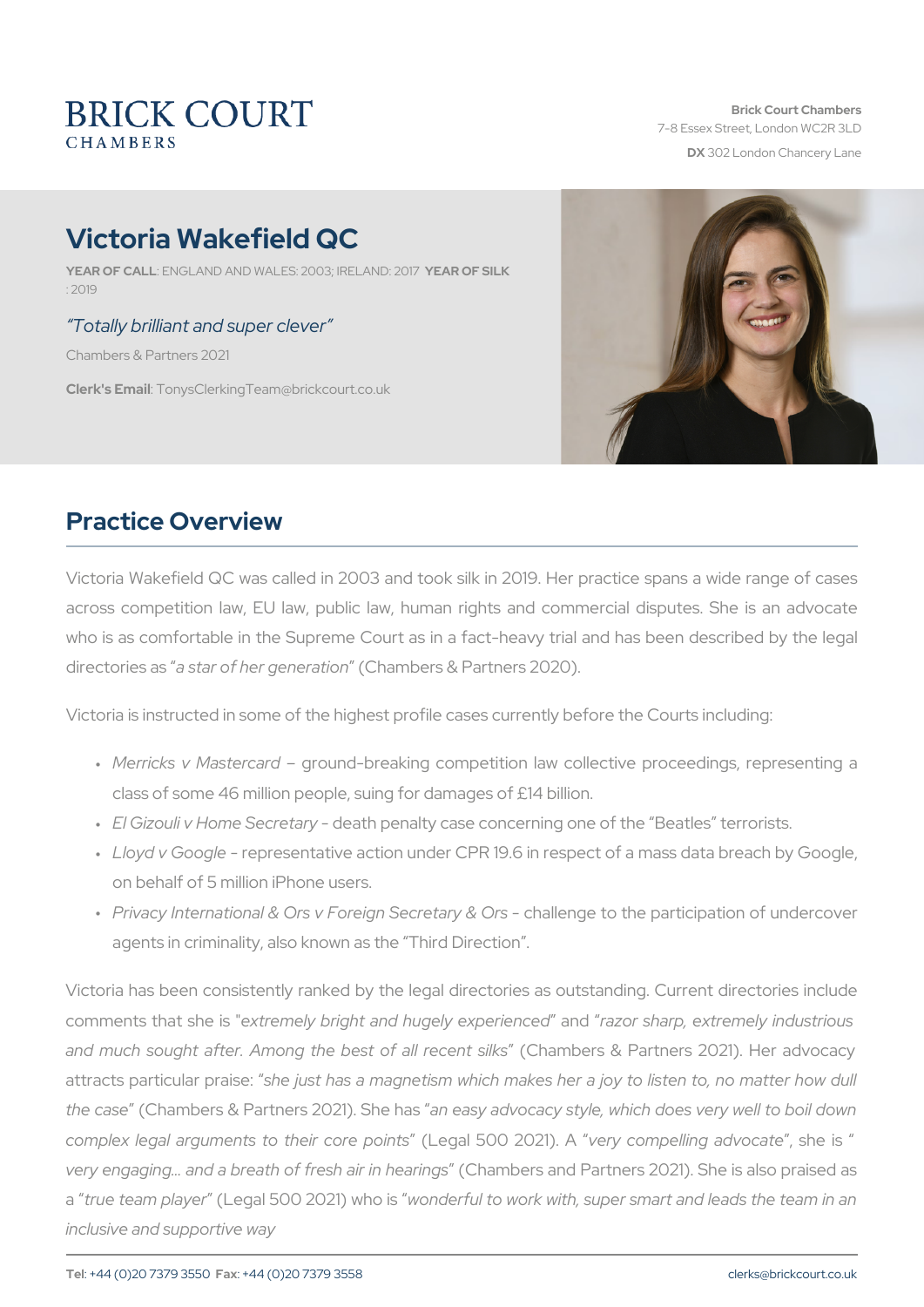# Victoria Wakefield QC

YEAR OF CALNEGLAND AND WALES: 2003; YIERAERLANFDSILIK17  $\cdot$  2019

#### Totally brilliant and super clever

Chambers & Partners 2021

Clerk's Emanily sClerking Team @brickcourt.co.uk

### Practice Overview

Victoria Wakefield QC was called in 2003 and took silk in 2019. Her across competition law, EU law, public law, human rights and com who is as comfortable in the Supreme Court as in a fact-heavy trial directorieas satsar of her genienatmidomers & Partners 2020).

Victoria is instructed in some of the highest profile cases currently be

- " Merricks v Mastegrcoaurdd-breaking competition law collective proc class of some 46 million people, suing for damages of £14 billion.
- " El Gizouli v Home-Scleecarteht apreynalty case concerning one of the Beat
- " Lloyd v Googepresentative action under CPR 19.6 in respect of a r on behalf of 5 million iPhone users.
- " Privacy International & Ors v Foreighnal**Secc**getatoy t& eO pr**a**rticipation o agents in criminality, also known as the Third Direction .

Victoria has been consistently ranked by the legal directories as out comments that exthree misely bright and hugel and and and and and  $r$  and  $r$  and  $r$ and much sought after. Among the bet and ball recent tail ks  $2021$ . I attracts particulahepias a magnetism which makes her a joy to the cas  $(\mathbb{C} \text{ hambers } \&$  Partners  $20024$  as  $\sqrt{S}$  hand who acsacy style, which does ver complex legal arguments to the eigad of 5e00 po2lione.2toly co.4mpelling adsvhoecaitse very engaging & and a breath of f(r@bamabierisn chredar Prangts ners 2021). She a true team pl(d\_yeegral 500 2021) provid hear fiusi to work with, super smart and I inclusive and supportive way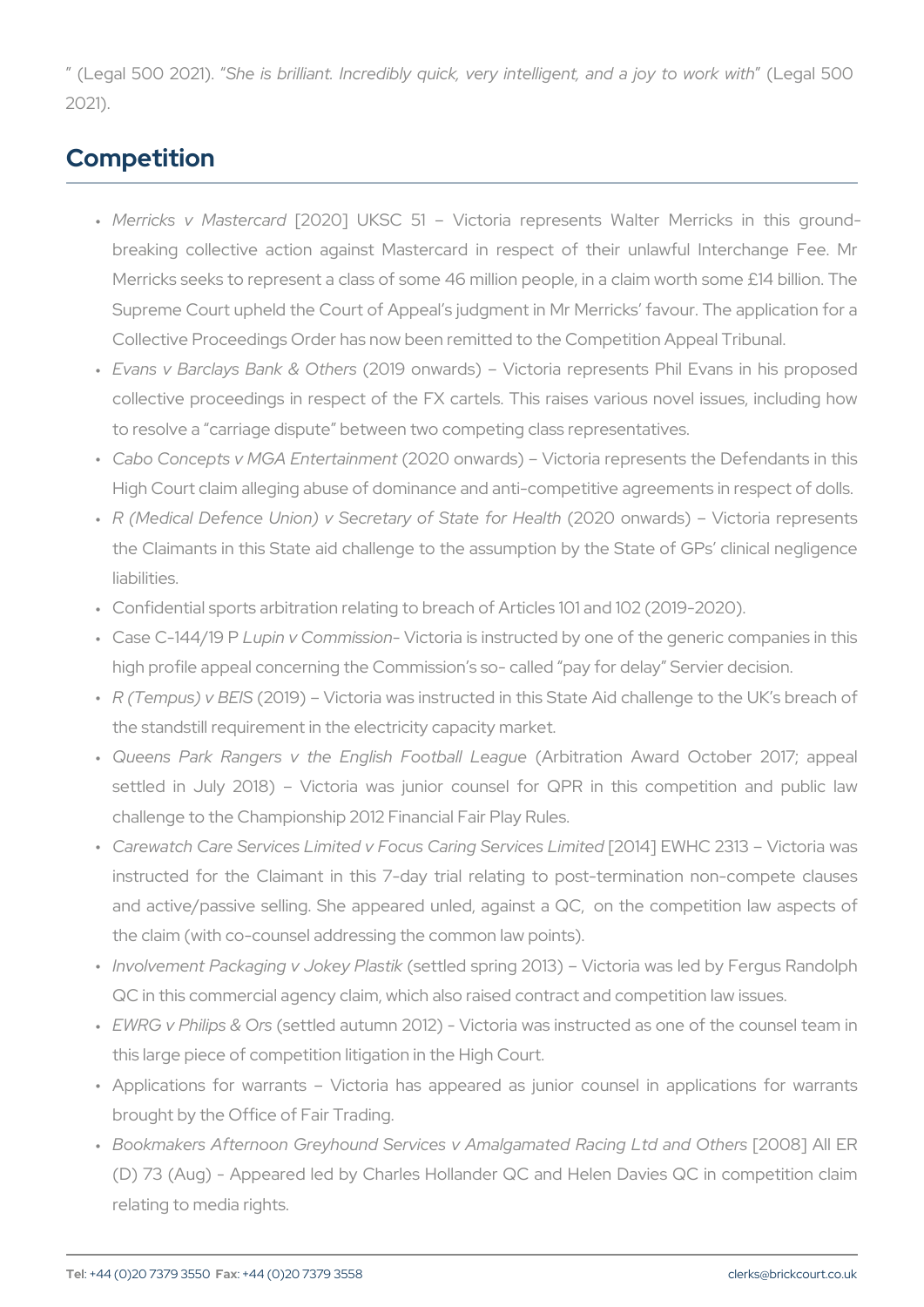(Legal 500 S2h 0e2 1 \$. brilliant. Incredibly quick, very intellige egnati,  $an \omega$ 2021).

#### Competition

- " Merricks v Mas[12e0r2c0a]rdUKSC 51 Victoria represents Walter breaking collective action against Mastercard in respect of the Merricks seeks to represent a class of some 46 million people, in Supreme Court upheld the Court of Appeal s judgment in Mr Merri Collective Proceedings Order has now been remitted to the Compe
- " Evans v Barclays Ban2k01&9 Oothweasds) Victoria represents Phil E collective proceedings in respect of the FX cartels. This raises to resolve a carriage dispute between two competing class repre
- " Cabo Concepts v MGA Entendanment and s) Victoria represents the High Court claim alleging abuse of dominance and anti-competitive
- " R (Medical Defence Union) v Secreta(r2y02o**0 Sna**wtærdf**s**)r HeVailctthoria r the Claimants in this State aid challenge to the assumption by the liabilities.
- " Confidential sports arbitration relating to breach of Articles 101 a
- " Case C-144L/ulp9in Pv CommiNsiscitcon ria is instructed by one of the gener high profile appeal concerning the Commission s so- called pay for
- " R (Tempus)  $\sqrt[6]{2}$ BE9\$ Victoria was instructed in this State Aid chal the standstill requirement in the electricity capacity market.
- " Queens Park Rangers v the Engl(i**AhbiFroactiball Alweaaogu @**ctober 2 settled in July 2018) Victoria was junior counsel for QPR challenge to the Championship 2012 Financial Fair Play Rules.
- " Carewatch Care Services Limited v Focus[200a14i]hgE\SY&HrCvi2:83 3Lim\Yieth instructed for the Claimant in this 7-day trial relating to post and active/passive selling. She appeared unled, against a QC, the claim (with co-counsel addressing the common law points).
- " Involvement Packaging v(**sek**telogdPslapstinkg 2013) Victoria was led b QC in this commercial agency claim, which also raised contract an
- " EWRG v Philip(sse&ttDero's autumn 2012) Victoria was instructed as c this large piece of competition litigation in the High Court.
- " Applications for warrants Victoria has appeared as junior co brought by the Office of Fair Trading.
- " Bookmakers Afternoon Greyhound Services v Amalga[m280&d] RalcEnF (D) 73 (Aug) - Appeared led by Charles Hollander QC and Helen relating to media rights.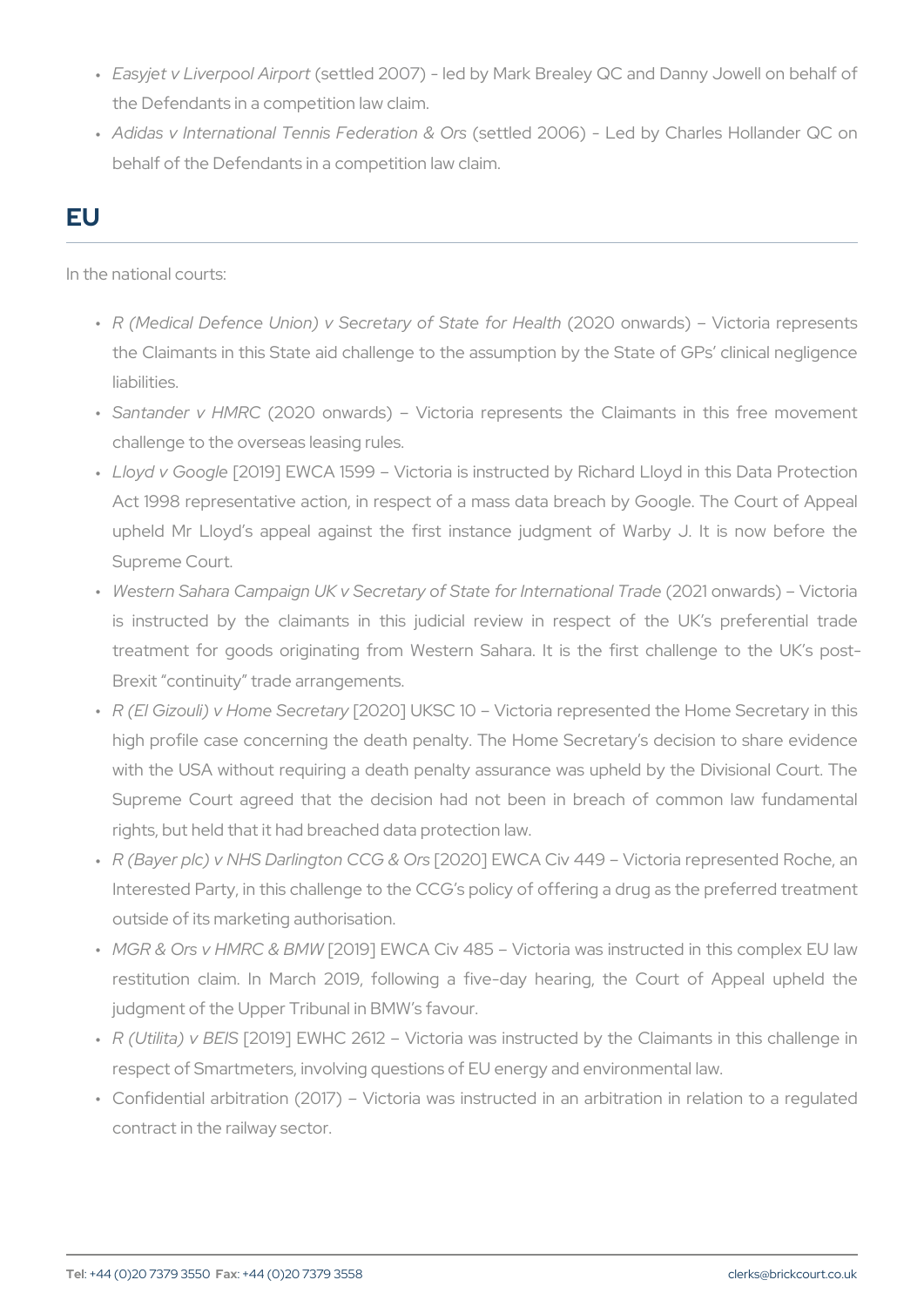- " Easyjet v Liverpo(osle:Atilmepolo 121007) led by Mark Brealey QC and Dan the Defendants in a competition law claim.
- " Adidas v International Tennis(sFeetolleeroat 200n068) Orlsed by Charles Ho behalf of the Defendants in a competition law claim.

# EU

In the national courts:

- " R (Medical Defence Union) v Secreta(r2y02o**0 Sna**wtærdf**s**)r HeVailctthoria r the Claimants in this State aid challenge to the assumption by th liabilities.
- " Santander v (H2MORC onwards) Victoria represents the Claimant challenge to the overseas leasing rules.
- " Lloyd v Go[ $@$ I1e9] EWCA 1599 Victoria is instructed by Richard I Act 1998 representative action, in respect of a mass data breach upheld Mr Lloyd s appeal against the first instance judgment Supreme Court.
- " Western Sahara Campaign UK v Secretary of \$2002e1 f**onwate** biatibind is instructed by the claimants in this judicial review in res treatment for goods originating from Western Sahara. It is the Brexit continuity trade arrangements.
- " R (El Gizouli) v Hom[@032@o}r⊎1KaSC 10 Victoria represented the Ho high profile case concerning the death penalty. The Home Secre with the USA without requiring a death penalty assurance was up Supreme Court agreed that the decision had not been in brea rights, but held that it had breached data protection law.
- " R (Bayer plc) v NHS Darlin[g2t002h0 C CE OS / OS & V 449 Victoria represe Interested Party, in this challenge to the CCG s policy of offering outside of its marketing authorisation.
- " MGR & Ors v HMR [22 0&1 98] MEW W CA Civ 485 Victoria was instructed restitution claim. In March 2019, following a five-day hearing judgment of the Upper Tribunal in BMW s favour.
- " R (Utilita) [2 CB ESI] SE W H C 2612 Victoria was instructed by the C respect of Smartmeters, involving questions of EU energy and env
- " Confidential arbitration (2017) Victoria was instructed in an a contract in the railway sector.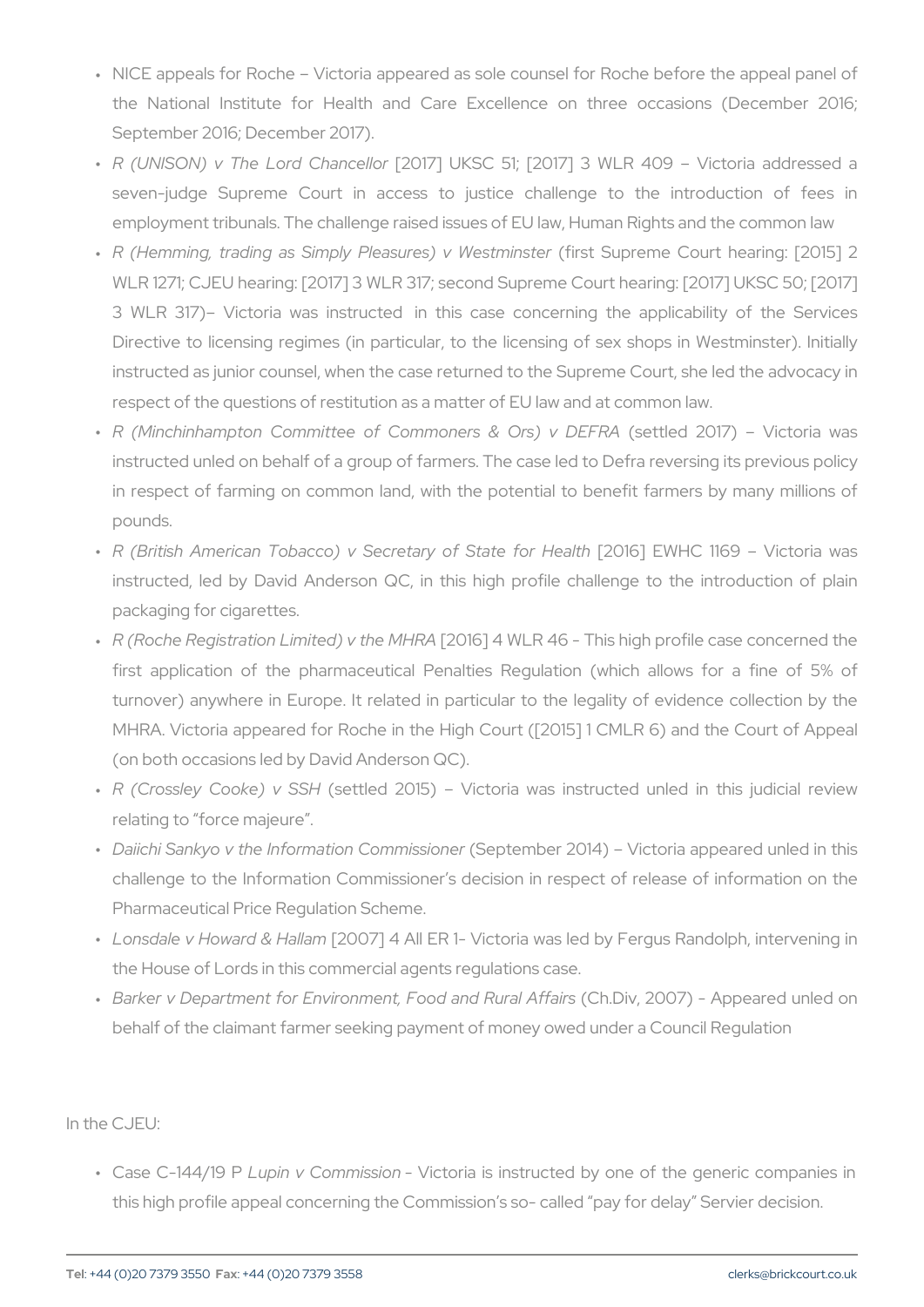- " NICE appeals for Roche Victoria appeared as sole counsel for I the National Institute for Health and Care Excellence on the September 2016; December 2017).
- " R (UNISON) v The Lor[o'2001 173] n blekl\$noGr 51; [2017] 3 WLR 409 V seven-judge Supreme Court in access to justice challenge employment tribunals. The challenge raised issues of EU law, Hum
- " R (Hemming, trading as Simply Pleasfoculuses)SuvproewheestmCionusntterhearin WLR 1271; CJEU hearing: [2017] 3 WLR 317; second Supreme Cou 3 WLR 317) Victoria was instructed in this case concerning Directive to licensing regimes (in particular, to the licensing of instructed as junior counsel, when the case returned to the Supre respect of the questions of restitution as a matter of EU law and a
- " R (Minchinhampton Committee of Common(seerstle&d O2nOs1)7)v DEVFiRtA instructed unled on behalf of a group of farmers. The case led to in respect of farming on common land, with the potential to be pounds.
- " R (British American Tobacco) v Secret[a2n0y1 6o]f ESWaHtC9 flo1n69HealWhic instructed, led by David Anderson QC, in this high profile cha packaging for cigarettes.
- " R (Roche Registration Limit[e2d)1 ©] the WML RR446 This high profile ca first application of the pharmaceutical Penalties Regulation ( turnover) anywhere in Europe. It related in particular to the leg MHRA. Victoria appeared for Roche in the High Court ([2015] 1 0 (on both occasions led by David Anderson QC).
- " R (Crossley Cook (e) e totleSdS H2015) Victoria was instructed unle relating to force majeure .
- " Daiichi Sankyo v the Informat (6 Bep Commisme is s20 n 4 ) Victoria appeare challenge to the Information Commissioner s decision in respect Pharmaceutical Price Regulation Scheme.
- " Lonsdale v Howard[280 OH7a]Il4amAll ER 1 Victoria was led by Fergus the House of Lords in this commercial agents regulations case.
- " Barker v Department for Environment, (FCoho.oDiand2.0ROu7r)al–AAfpfppierasred behalf of the claimant farmer seeking payment of money owed under  $\alpha$

In the CJEU:

" Case C-144L/dp9in Pv CommiVs is ontiantian is instructed by one of the general companies in the ge this high profile appeal concerning the Commission s so- called p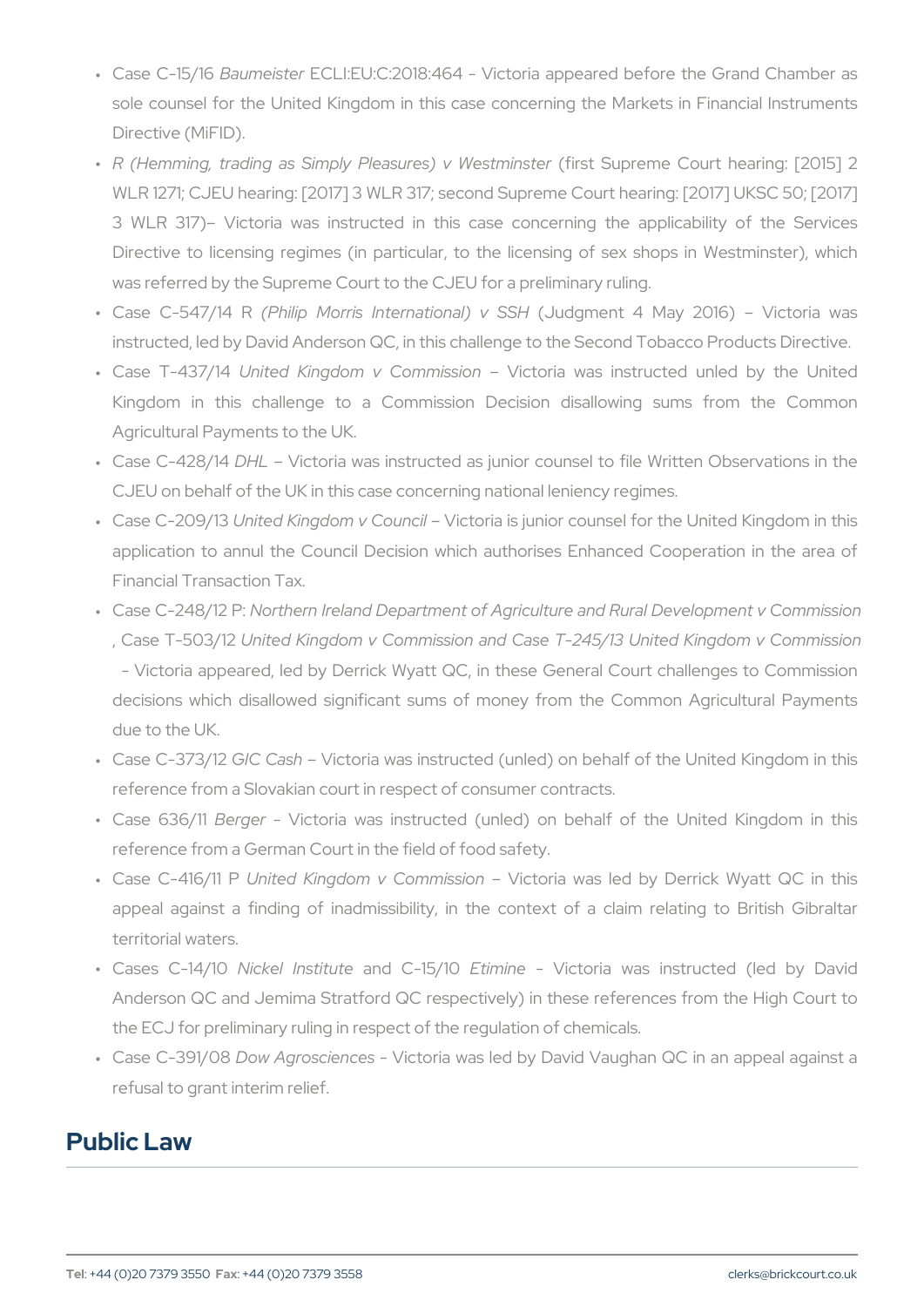- " Case C–1E5a/OlmeisEeOrLI:EU:C:2018:464 Victoria appeared before sole counsel for the United Kingdom in this case concerning the Directive (MiFID).
- " R (Hemming, trading as Simply Pleasfoculuses)SuvproeWheestnCionusntterhearin WLR 1271; CJEU hearing: [2017] 3 WLR 317; second Supreme Cou 3 WLR 317) Victoria was instructed in this case concernin Directive to licensing regimes (in particular, to the licensing c was referred by the Supreme Court to the CJEU for a preliminary r
- Case C-547/14 R (Philip Morris International) v SSH (Judgment 4 May 2016) Victoria was " instructed, led by David Anderson QC, in this challenge to the Sec
- " Case T-43U7n/1t4ed Kingdom v ComVmicstspiroi**a** was instructed unled Kingdom in this challenge to a Commission Decision disal Agricultural Payments to the UK.
- " Case C-42DBH1L4 Victoria was instructed as junior counsel to file ' CJEU on behalf of the UK in this case concerning national lenienc
- " Case C–20U9n't 3ed Kingdom v @ boutmorib is junior counsel for the Unit application to annul the Council Decision which authorises Enh Financial Transaction Tax.
- " Case C-248N1o2t Pern Ireland Department of Agriculture and Rural I . Case T-500 Bilde Kingdom v Commission and Case T-245/13 Unit - Victoria appeared, led by Derrick Wyatt QC, in these Genera decisions which disallowed significant sums of money from the due to the UK.
- " Case C-37G3VC32CashVictoria was instructed (unled) on behalf of the reference from a Slovakian court in respect of consumer contracts.
- " Case 63Bétger Victoria was instructed (unled) on behalf of th reference from a German Court in the field of food safety.
- " Case C-416U/nlittedP Kingdom v Com Vmicstoroian was led by Derrick W appeal against a finding of inadmissibility, in the context of territorial waters.
- " Cases C-1N4 Chk el Instanudte C-1E51 in One Victoria was instructed (led by David Clement Clement C Anderson QC and Jemima Stratford QC respectively) in these ref the ECJ for preliminary ruling in respect of the regulation of chem
- " Case C-39D 60w8 Agroscien\ciecstoria was led by David Vaughan QC in refusal to grant interim relief.

#### Public Law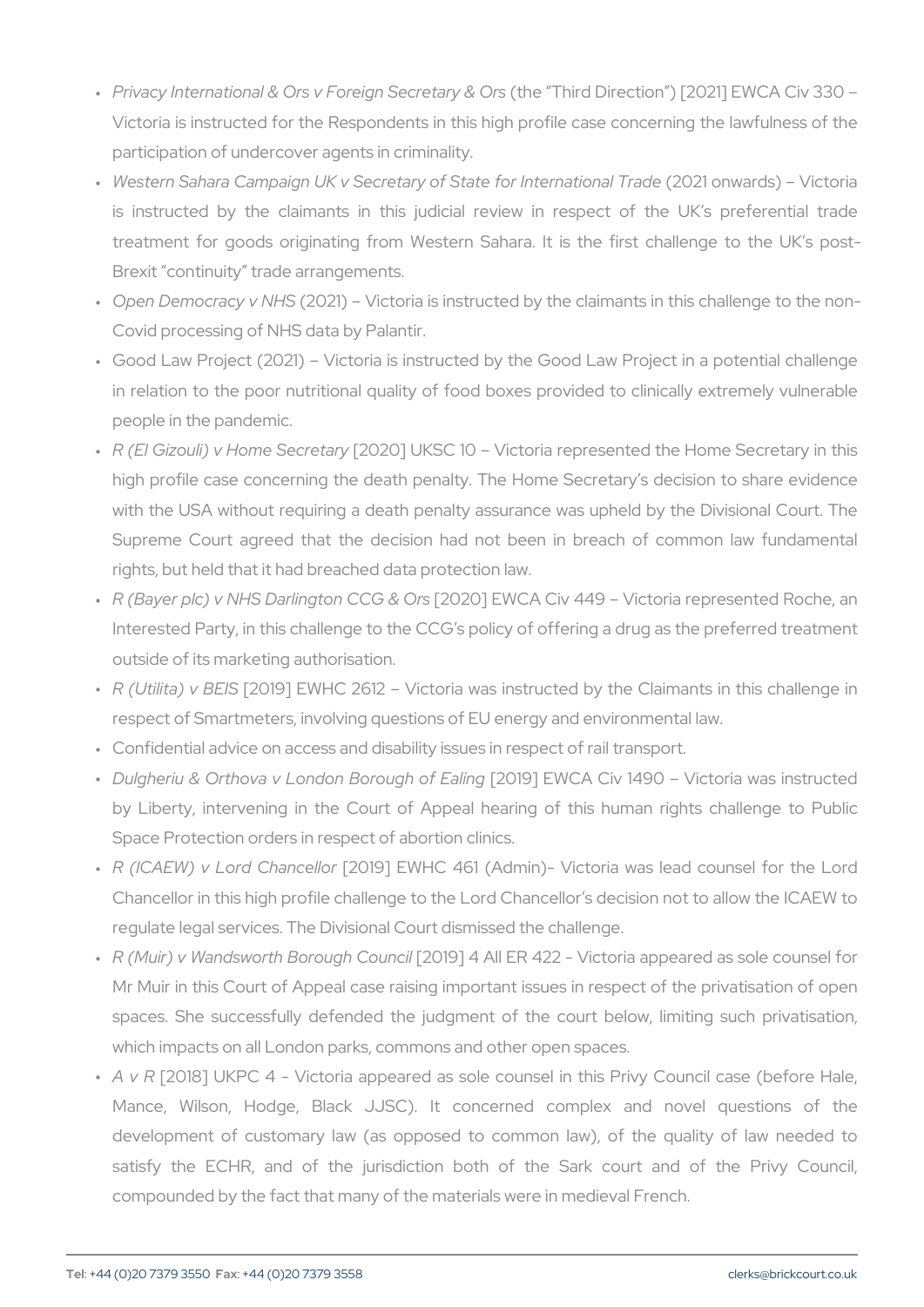- " Privacy International & Ors v For(etihgen STehoirdetDiriye & tiOoms) [2021] EW Victoria is instructed for the Respondents in this high profile case participation of undercover agents in criminality.
- " Western Sahara Campaign UK v Secretary of \$2002e1 f**onwate** biatibind is instructed by the claimants in this judicial review in res treatment for goods originating from Western Sahara. It is the Brexit continuity trade arrangements.
- " Open Democracy(2v0  $\mathbb{N}$  H)S Victoria is instructed by the claimants in Covid processing of NHS data by Palantir.
- " Good Law Project (2021) Victoria is instructed by the Good Law in relation to the poor nutritional quality of food boxes provided people in the pandemic.
- " R (El Gizouli) v Hom[@032@o}r⊎1KaSC 10 Victoria represented the Ho high profile case concerning the death penalty. The Home Secre with the USA without requiring a death penalty assurance was up Supreme Court agreed that the decision had not been in brea rights, but held that it had breached data protection law.
- " R (Bayer plc) v NHS Darlin[g2t002h0 C CEOW C& A O C sv 449 Victoria represe Interested Party, in this challenge to the CCG s policy of offering outside of its marketing authorisation.
- " R (Utilita) [2 CB ESI] SE W H C 2612 Victoria was instructed by the C respect of Smartmeters, involving questions of EU energy and env
- " Confidential advice on access and disability issues in respect of r
- " Dulgheriu & Orthova v London [B2c0r1o9u]ghEWoCAEaCling 1490 Victoria by Liberty, intervening in the Court of Appeal hearing of this Space Protection orders in respect of abortion clinics.
- " R (ICAEW) v Lord [ $2$ hoano] e Blowr HC 461 (Admin) Victoria was lead Chancellor in this high profile challenge to the Lord Chancellor s regulate legal services. The Divisional Court dismissed the challe
- " R (Muir) v Wandsworth Bq2o0u1g9h] CoAulnicElR 422 Victoria appeared Mr Muir in this Court of Appeal case raising important issues in spaces. She successfully defended the judgment of the court which impacts on all London parks, commons and other open space
- " A v  $[2018]$  UKPC 4 Victoria appeared as sole counsel in this Mance, Wilson, Hodge, Black JJSC). It concerned comple development of customary law (as opposed to common law), o satisfy the ECHR, and of the jurisdiction both of the Sar compounded by the fact that many of the materials were in mediev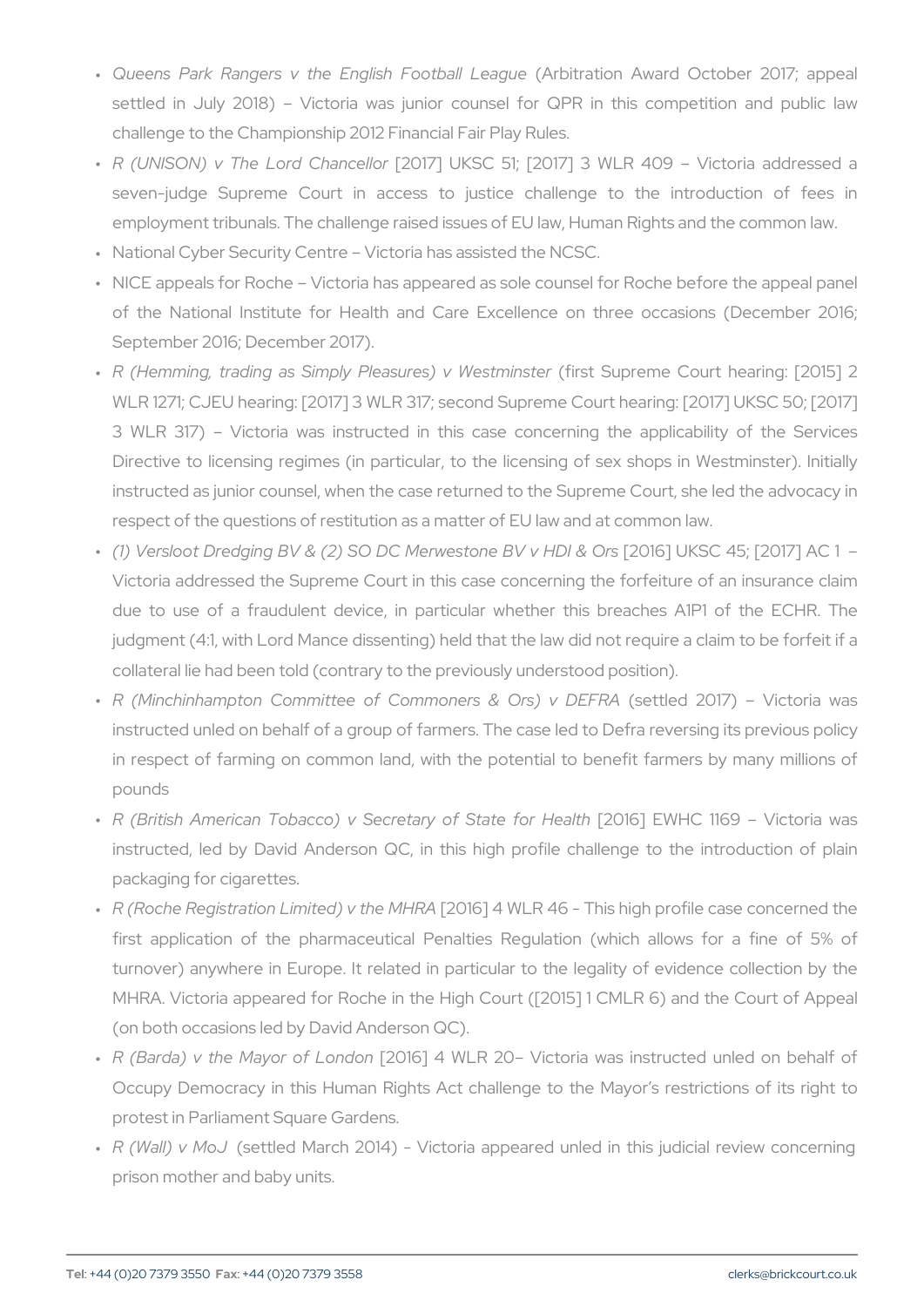- " Queens Park Rangers v the Engl(i**AhbiFroactiball Alweaag**ue October 2 settled in July 2018) Victoria was junior counsel for QPR challenge to the Championship 2012 Financial Fair Play Rules.
- " R (UNISON) v The Lor[o'2001 173] n blekl\$noGr 51; [2017] 3 WLR 409 V seven-judge Supreme Court in access to justice challenge employment tribunals. The challenge raised issues of EU law, Hum
- " National Cyber Security Centre Victoria has assisted the NCSC.
- " NICE appeals for Roche Victoria has appeared as sole counsel f of the National Institute for Health and Care Excellence on September 2016; December 2017).
- " R (Hemming, trading as Simply Pleasfoculuses)SuvproewheestmCionusntterhearin WLR 1271; CJEU hearing: [2017] 3 WLR 317; second Supreme Cou 3 WLR 317) Victoria was instructed in this case concerning Directive to licensing regimes (in particular, to the licensing of instructed as junior counsel, when the case returned to the Supre respect of the questions of restitution as a matter of EU law and a
- " (1) Versloot Dredging BV & (2) SO DC Me[r2w0e1s6t]onUeKSB0⁄4/5HD[20&17O] Victoria addressed the Supreme Court in this case concerning the due to use of a fraudulent device, in particular whether this  $j$ udgment (4:1, with Lord Mance dissenting) held that the law did  $n$ collateral lie had been told (contrary to the previously understood
- " R (Minchinhampton Committee of Common(seerstle&d O2nOs1)7)v DEVFiRtA instructed unled on behalf of a group of farmers. The case led to in respect of farming on common land, with the potential to be pounds
- " R (British American Tobacco) v Secret[a2n0y1 6o]f ESWaHtC9 flo1n69HealWhic instructed, led by David Anderson QC, in this high profile cha packaging for cigarettes.
- " R (Roche Registration Limit[e2d0)1 © ] the WML RR446 This high profile ca first application of the pharmaceutical Penalties Regulation ( turnover) anywhere in Europe. It related in particular to the leg MHRA. Victoria appeared for Roche in the High Court ([2015] 1 0 (on both occasions led by David Anderson QC).
- " R (Barda) v the Mayo[r2 Conf6] o4hd\oMoll R 20 Victoria was instructed Occupy Democracy in this Human Rights Act challenge to the M protest in Parliament Square Gardens.
- " R (Wall) v (Msoutled March 2014) Victoria appeared unled in th prison mother and baby units.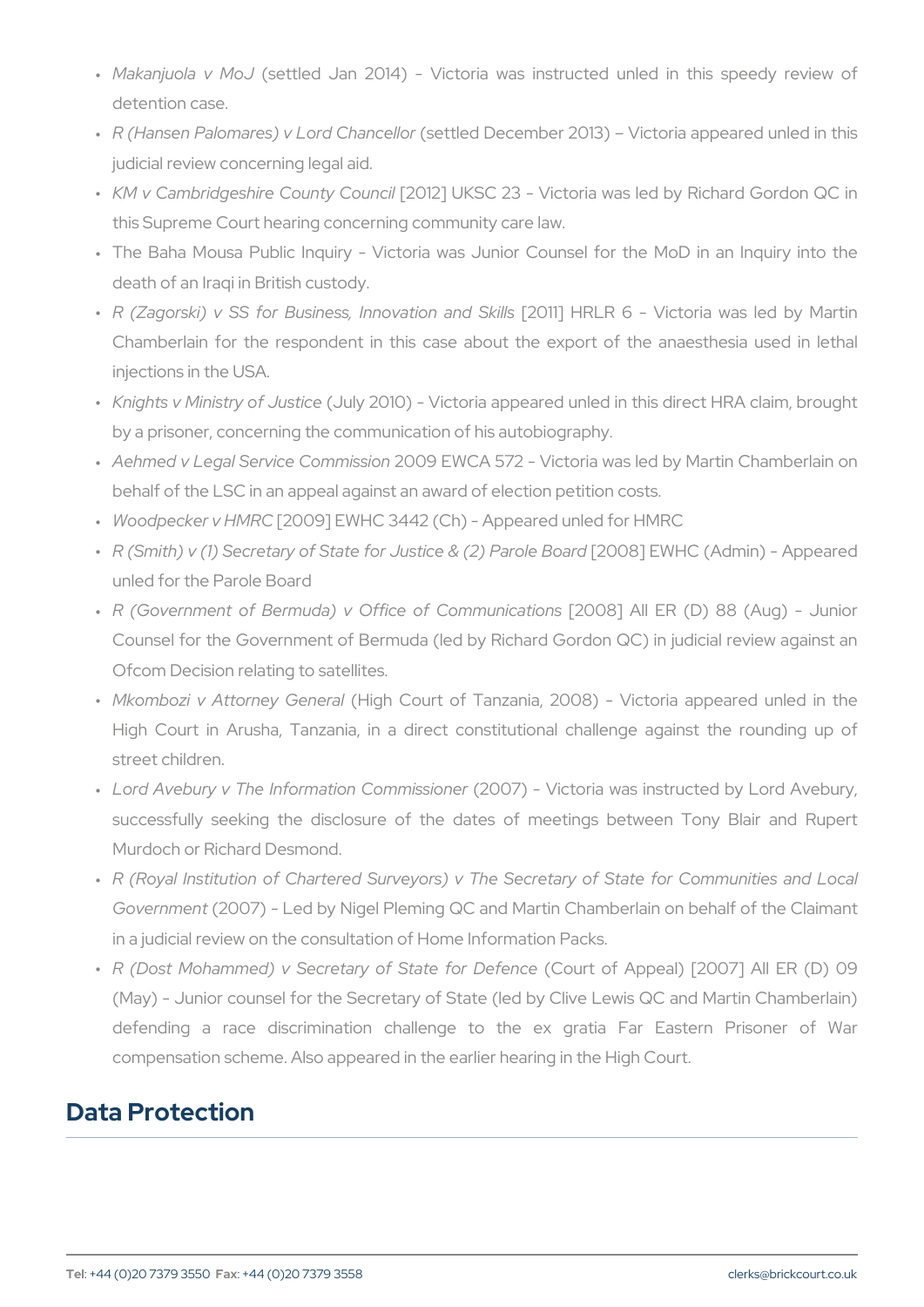- " Makanjuola v(sMotubed Jan 2014) Victoria was instructed unle detention case.
- " R (Hansen Palomares) v L(osredttCehdanDoeed eomber 2013) Victoria appe judicial review concerning legal aid.
- " K M v Cambridgeshire Cq(2011)2] C b KnScOl 23 Victoria was led by Rio this Supreme Court hearing concerning community care law.
- " The Baha Mousa Public Inquiry Victoria was Junior Counsel f death of an Iraqi in British custody.
- " R (Zagorski) v SS for Business,[20ntolyahHiRobRan6d S\kildbsoria was Chamberlain for the respondent in this case about the export injections in the USA.
- " Knights v Ministry(oludly u $\texttt{\&}$  Oliclole) Victoria appeared unled in this di by a prisoner, concerning the communication of his autobiography.
- Aehmed v Legal Service Commission 2009 EWCA 572 Victoria was led by Martin Chamberlain on " behalf of the LSC in an appeal against an award of election petition
- " Woodpecker v [20 M R SQ E W H C 3442 (Ch) Appeared unled for H M R C
- " R (Smith) v (1) Secretary of State for J[u2s0t0o38] EEW(Pen)C P(aArobrhein Bjo-anApper Content Content Content Content Content Content Content Content Content Content Content Content Content Content Content Content Conte unled for the Parole Board
- " R (Government of Bermuda) v Office[20108C] oAnInhuEn Rca(tDo) n \$8 (Aug Counsel for the Government of Bermuda (led by Richard Gordon ( Ofcom Decision relating to satellites.
- " Mkombozi v Attorne (yHiGgehneCroaulrt of Tanzania, 2008) Victoria a High Court in Arusha, Tanzania, in a direct constitutional ch street children.
- " Lord Avebury v The Informati $\phi$ 2007) mmi bisoloner a was instructed by successfully seeking the disclosure of the dates of meetings Murdoch or Richard Desmond.
- " R (Royal Institution of Chartered Surveyors) v The Secretary of Governme 2007) - Led by Nigel Pleming QC and Martin Chamberlain in a judicial review on the consultation of Home Information Packs.
- " R (Dost Mohammed) v Secretary o**f CSouart**te offorApDpeefaeIn)c $\epsilon$ 2007] All (May) - Junior counsel for the Secretary of State (led by Clive L defending a race discrimination challenge to the ex gra compensation scheme. Also appeared in the earlier hearing in the

### Data Protection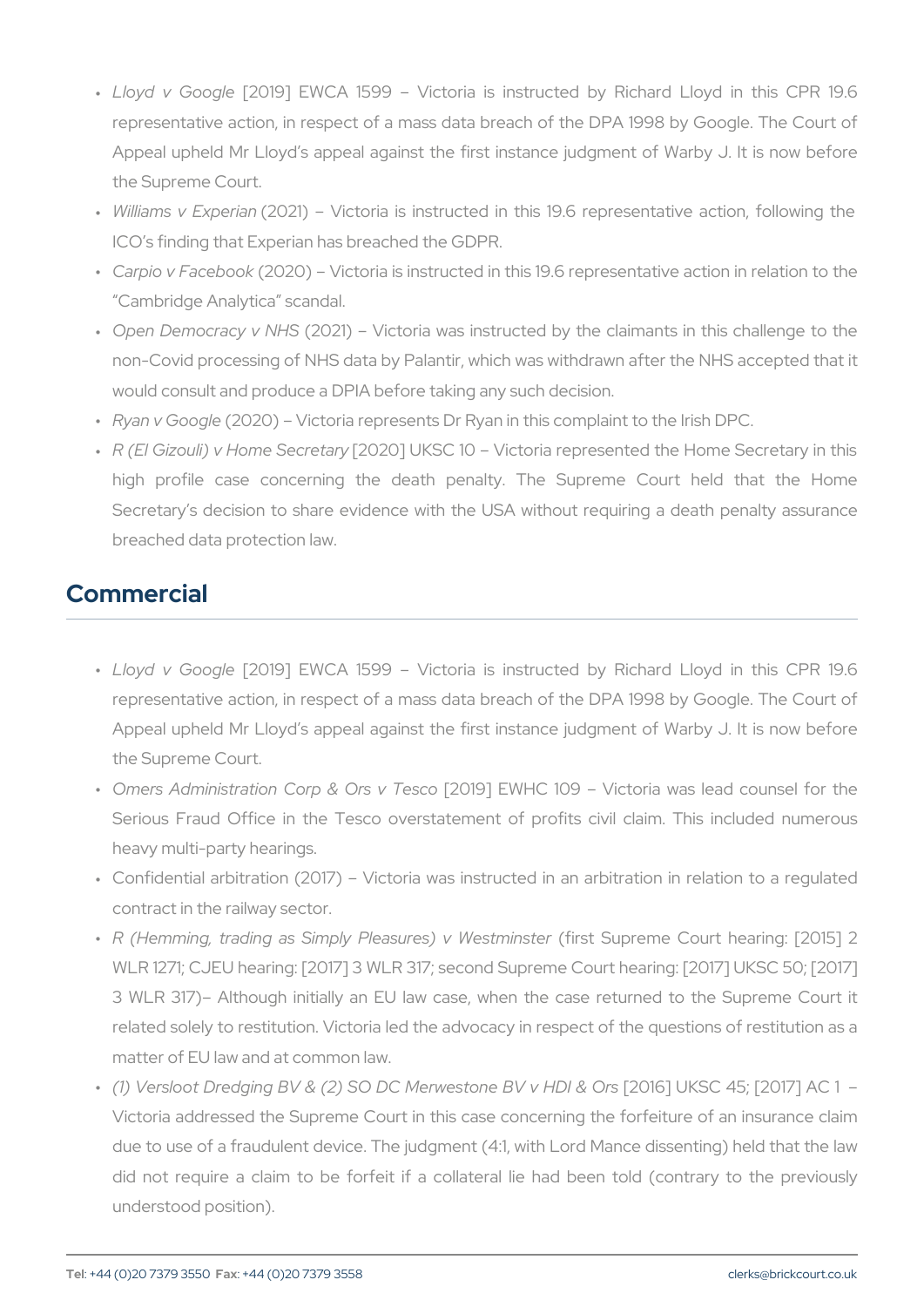- "Lloyd v Go[o2oß] EWCA 1599 Victoria is instructed by Ric representative action, in respect of a mass data breach of the D Appeal upheld Mr Lloyd s appeal against the first instance judg the Supreme Court.
- " Williams v Ę $\mathfrak{Q}\rho$  2end in Victoria is instructed in this 19.6 representative action, following the senta ICO s finding that Experian has breached the GDPR.
- " Carpio v Fac(e2b0o2c0k) Victoria is instructed in this 19.6 representa Cambridge Analytica scandal.
- " Open Democracy(200 2NH) S Victoria was instructed by the claimant non-Covid processing of NHS data by Palantir, which was withdray would consult and produce a DPIA before taking any such decision.
- " Ryan v Go(c2q0120) Victoria represents Dr Ryan in this complaint to
- " R (El Gizouli) v Honn2e02SOe]cnUeKfSnCy 10 Victoria represented the Home Secretary in the Secretary in the S high profile case concerning the death penalty. The Supr Secretary s decision to share evidence with the USA without re breached data protection law.

# Commercial

- " Lloyd v Go[o2oß] EWCA 1599 Victoria is instructed by Ric representative action, in respect of a mass data breach of the D Appeal upheld Mr Lloyd s appeal against the first instance judg the Supreme Court.
- " Omers Administration Corp[2&0109]sE\HGsdo09 Victoria was lead Serious Fraud Office in the Tesco overstatement of profits ci heavy multi-party hearings.
- " Confidential arbitration (2017) Victoria was instructed in an a contract in the railway sector.
- " R (Hemming, trading as Simply Pleasfoculuses)SuvproeWheestnCionusntterhearin WLR 1271; CJEU hearing: [2017] 3 WLR 317; second Supreme Cou 3 WLR 317) Although initially an EU law case, when the case related solely to restitution. Victoria led the advocacy in respect matter of EU law and at common law.
- " (1) Versloot Dredging BV & (2) SO DC Me[r2w0e1s6t]onUeKSB0⁄4/5HD[20&17O] Victoria addressed the Supreme Court in this case concerning the due to use of a fraudulent device. The judgment  $(4:1,$  with Lord N did not require a claim to be forfeit if a collateral lie had b understood position).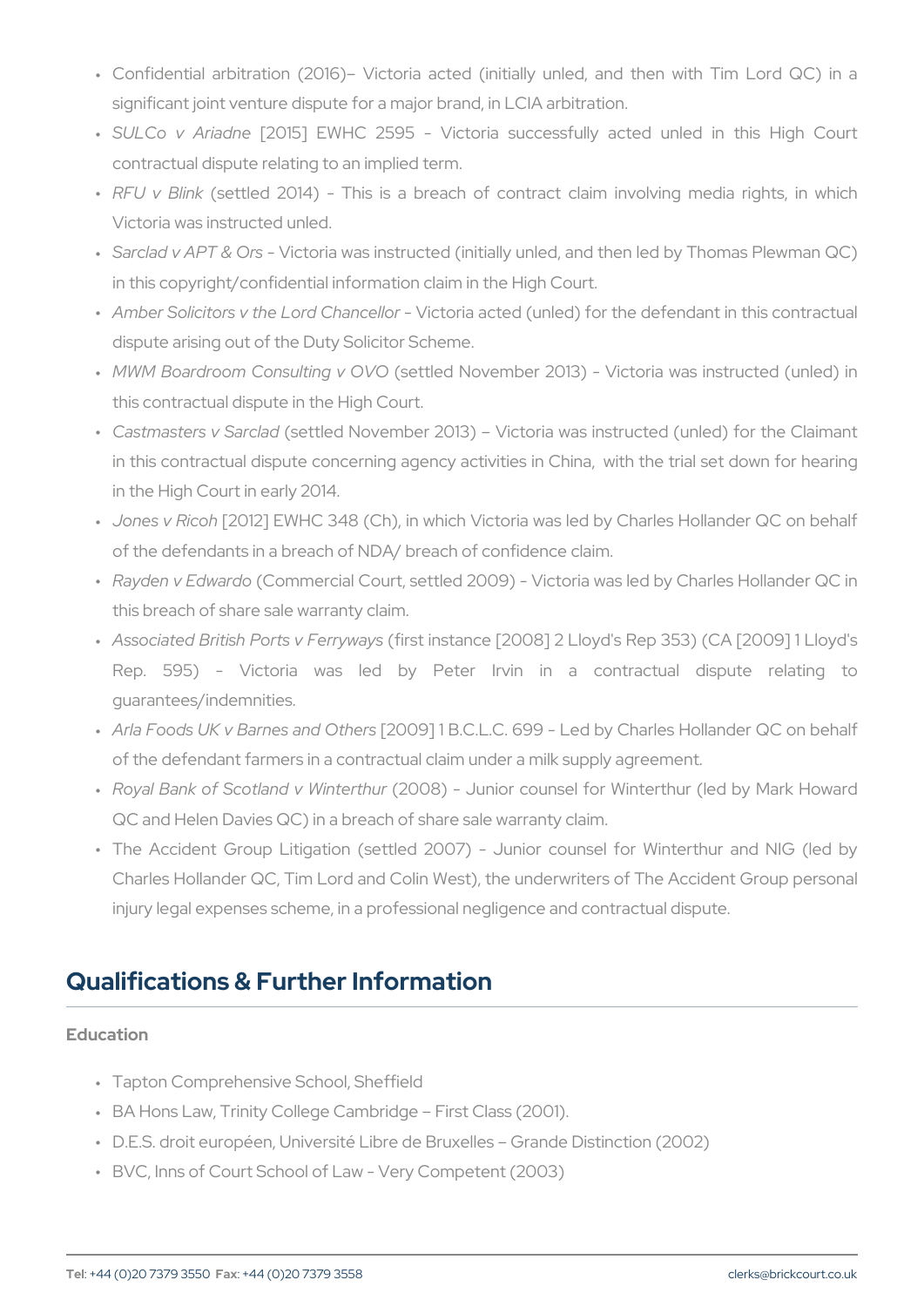- " Confidential arbitration (2016) Victoria acted (initially unled, significant joint venture dispute for a major brand, in LCIA arbitra
- " SULCo v Ar[ $a$ dni bet EWHC 2595 Victoria successfully acted contractual dispute relating to an implied term.
- " RFU v B(Ishektled 2014) This is a breach of contract claim in Victoria was instructed unled.
- " Sarclad v APT & iQuosia was instructed (initially unled, and then le in this copyright/confidential information claim in the High Court.
- " Amber Solicitors v the LorMicCllonainacealdiord (unled) for the defendant dispute arising out of the Duty Solicitor Scheme.
- " M W M Boardroom Consul(tsinegtled O M Ovember 2013) Victoria was in this contractual dispute in the High Court.
- " Castmasters v (**Sattled** November 2013) Victoria was instructed in this contractual dispute concerning agency activities in China, in the High Court in early 2014.
- " Jones v R[i $2$  @ h2] EWHC 348 (Ch), in which Victoria was led by Cha of the defendants in a breach of NDA/ breach of confidence claim.
- " Rayden v Ed(wCaornohom ercial Court, settled 2009) Victoria was led b this breach of share sale warranty claim.
- " Associated British Port(sfi**vsFeinrsytvaayse** [2008] 2 Lloyd's Rep 353) ( Rep. 595) - Victoria was led by Peter Irvin in guarantees/indemnities.
- " Arla Foods UK v Barne[\$2 0a0n9d] Olt Be Cs L.C. 699 Led by Charles Hol of the defendant farmers in a contractual claim under a milk suppl
- " Royal Bank of Scotland(2v0 OWBi)nterultuhnuiror counsel for Winterthur (le QC and Helen Davies QC) in a breach of share sale warranty claim.
- " The Accident Group Litigation (settled 2007) Junior counsel Charles Hollander QC, Tim Lord and Colin West), the underwriters injury legal expenses scheme, in a professional negligence and co

# Qualifications & Further Information

#### Education

- " Tapton Comprehensive School, Sheffield
- " BA Hons Law, Trinity College Cambridge First Class (2001).
- " D.E.S. droit européen, Université Libre de Bruxelles Grande Dist
- " BVC, Inns of Court School of Law Very Competent (2003)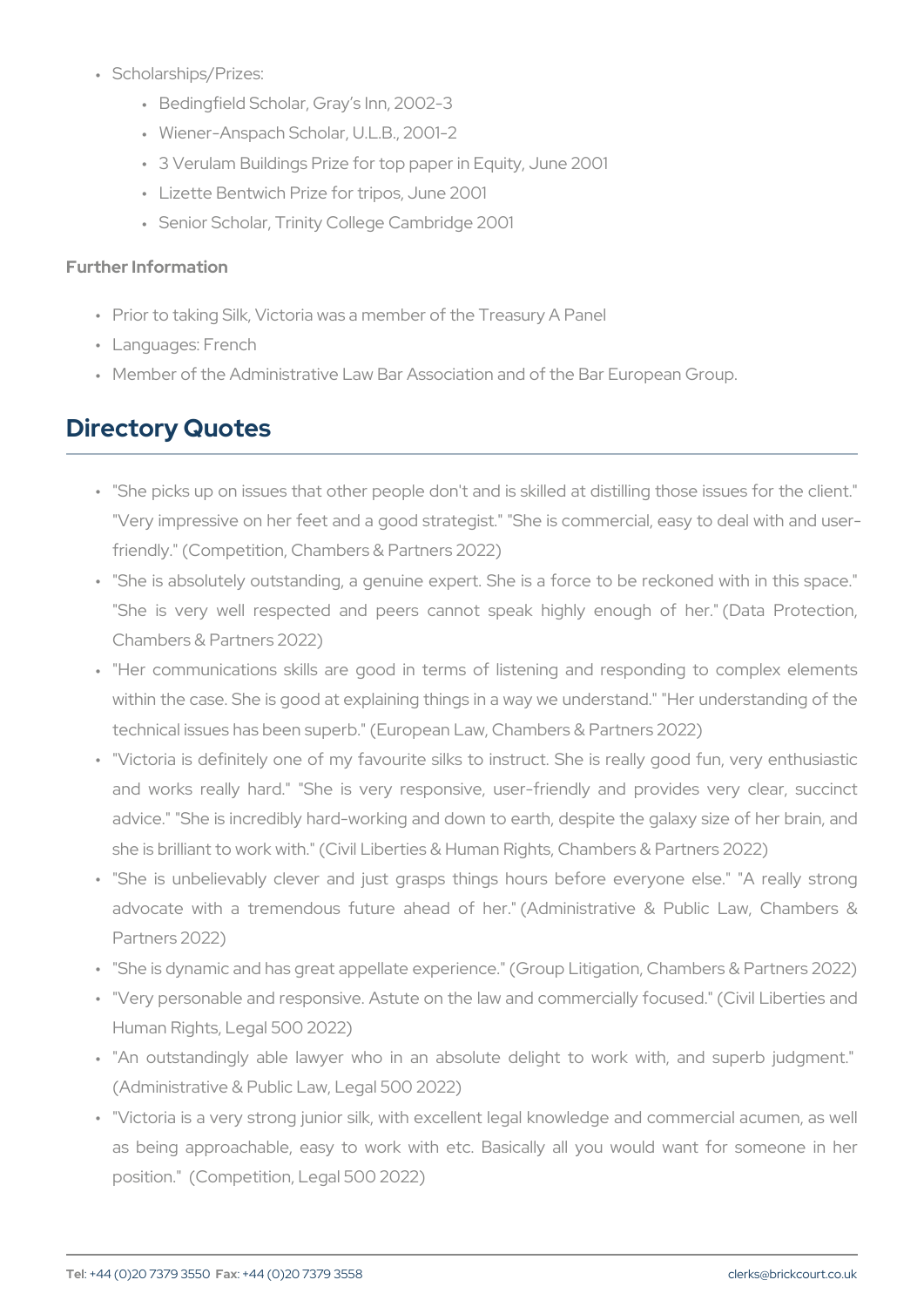- Scholarships/Prizes: "
	- " Bedingfield Scholar, Gray s Inn, 2002-3
	- " Wiener-Anspach Scholar, U.L.B., 2001-2
	- " 3 Verulam Buildings Prize for top paper in Equity, June 2001
	- " Lizette Bentwich Prize for tripos, June 2001
	- " Senior Scholar, Trinity College Cambridge 2001

Further Information

- " Prior to taking Silk, Victoria was a member of the Treasury A Panel
- " Languages: French
- " Member of the Administrative Law Bar Association and of the Bar I

#### Directory Quotes

- " "She picks up on issues that other people don't and is skilled at "Very impressive on her feet and a good strategist." "She is comi friendly." (Competition, Chambers & Partners 2022)
- " "She is absolutely outstanding, a genuine expert. She is a force "She is very well respected and peers cannot speak highly Chambers & Partners 2022)
- " "Her communications skills are good in terms of listening and within the case. She is good at explaining things in a way we und technical issues has been superb." (European Law, Chambers & Pa
- " "Victoria is definitely one of my favourite silks to instruct. She and works really hard." "She is very responsive, user-friendly advice." "She is incredibly hard-working and down to earth, despited and and the galaxy size of the galaxy siz she is brilliant to work with." (Civil Liberties & Human Rights, Cha
- " "She is unbelievably clever and just grasps things hours befo advocate with a tremendous future ahead of her." (Administrative Bublic Law) Partners 2022)
- " "She is dynamic and has great appellate experience." (Group Litig
- " "Very personable and responsive. Astute on the law and commerci Human Rights, Legal 500 2022)
- " "An outstandingly able lawyer who in an absolute delight to (Administrative & Public Law, Legal 500 2022)
- " "Victoria is a very strong junior silk, with excellent legal knowle as being approachable, easy to work with etc. Basically all y position." (Competition, Legal 500 2022)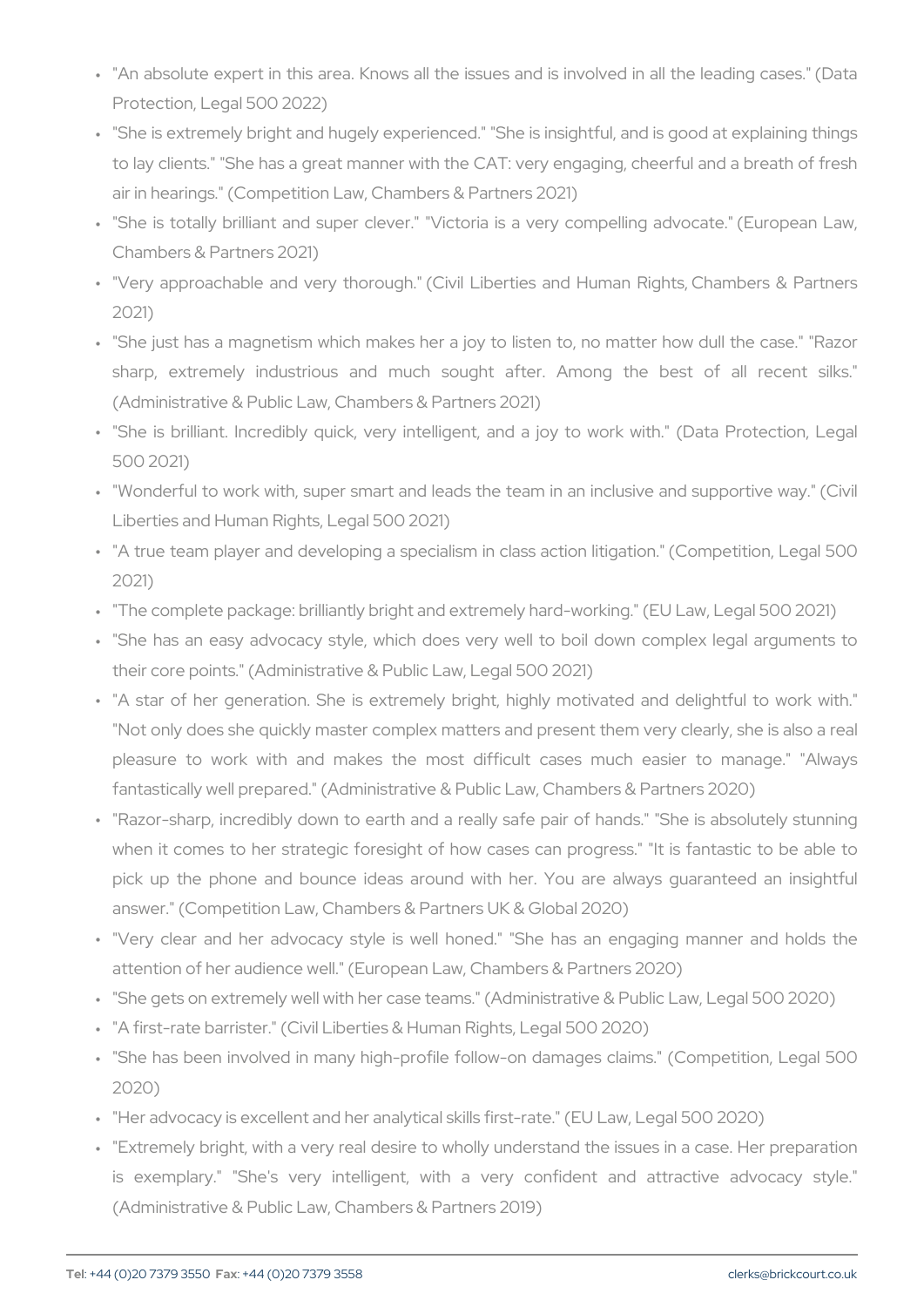- " "An absolute expert in this area. Knows all the issues and is inv Protection, Legal 500 2022)
- " "She is extremely bright and hugely experienced." "She is insight to lay clients." "She has a great manner with the CAT: very engaging air in hearings." (Competition Law, Chambers & Partners 2021)
- " "She is totally brilliant and super clever." "Victoria is a very c Chambers & Partners 2021)
- " "Very approachable and very thorough." (Civil Liberties and Hur 2021)
- " "She just has a magnetism which makes her a joy to listen to, n sharp, extremely industrious and much sought after. Amon (Administrative & Public Law, Chambers & Partners 2021)
- " "She is brilliant. Incredibly quick, very intelligent, and a joy t 500 2021)
- " "Wonderful to work with, super smart and leads the team in an in Liberties and Human Rights, Legal 500 2021)
- " "A true team player and developing a specialism in class action 2021)
- " "The complete package: brilliantly bright and extremely hard-worki
- " "She has an easy advocacy style, which does very well to boil their core points." (Administrative & Public Law, Legal 500 2021)
- " "A star of her generation. She is extremely bright, highly moti "Not only does she quickly master complex matters and present th pleasure to work with and makes the most difficult cases fantastically well prepared." (Administrative & Public Law, Chambe
- " "Razor-sharp, incredibly down to earth and a really safe pair of when it comes to her strategic foresight of how cases can prog pick up the phone and bounce ideas around with her. You are answer." (Competition Law, Chambers & Partners UK & Global 2020
- " "Very clear and her advocacy style is well honed." "She has attention of her audience well." (European Law, Chambers & Partn " "She gets on extremely well with her case teams." (Administrative " "A first-rate barrister." (Civil Liberties & Human Rights, Legal 500
- " "She has been involved in many high-profile follow-on damages 2020)
- " "Her advocacy is excellent and her analytical skills first-rate." (El
- " "Extremely bright, with a very real desire to wholly understand th is exemplary." "She's very intelligent, with a very confide (Administrative & Public Law, Chambers & Partners 2019)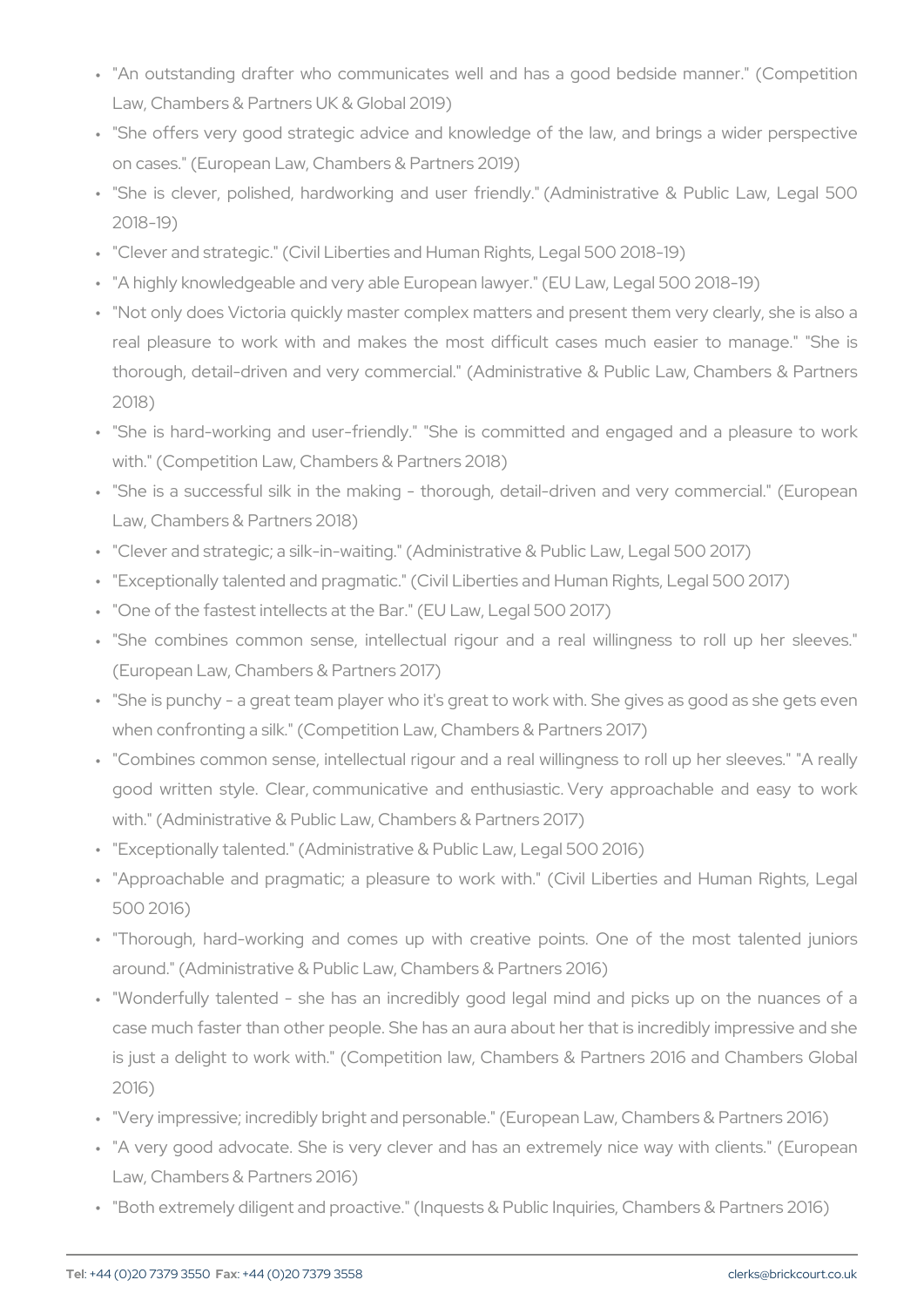- " "An outstanding drafter who communicates well and has a good Law, Chambers & Partners UK & Global 2019)
- " "She offers very good strategic advice and knowledge of the lav on cases." (European Law, Chambers & Partners 2019)
- " "She is clever, polished, hardworking and user friendly." (Admi 2018-19)
- " "Clever and strategic." (Civil Liberties and Human Rights, Legal 5
- " "A highly knowledgeable and very able European lawyer." (EU Law
- " "Not only does Victoria quickly master complex matters and prese real pleasure to work with and makes the most difficult cases thorough, detail-driven and very commercial." (Administrative & 2018)
- " "She is hard-working and user-friendly." "She is committed and with." (Competition Law, Chambers & Partners 2018)
- " "She is a successful silk in the making thorough, detail-drive Law, Chambers & Partners 2018)
- " "Clever and strategic; a silk-in-waiting." (Administrative & Public
- " "Exceptionally talented and pragmatic." (Civil Liberties and Humar
- " "One of the fastest intellects at the Bar." (EU Law, Legal 500 2017)
- " "She combines common sense, intellectual rigour and a real v (European Law, Chambers & Partners 2017)
- " "She is punchy a great team player who it's great to work with. when confronting a silk." (Competition Law, Chambers & Partners
- " "Combines common sense, intellectual rigour and a real willingne good written style. Clear, communicative and enthusiastic. Very with." (Administrative & Public Law, Chambers & Partners 2017)
- " "Exceptionally talented." (Administrative & Public Law, Legal 500
- ""Approachable and pragmatic; a pleasure to work with." (Civil I 500 2016)
- " "Thorough, hard-working and comes up with creative points. C around." (Administrative & Public Law, Chambers & Partners 2016)
- " "Wonderfully talented she has an incredibly good legal mind case much faster than other people. She has an aura about her th is just a delight to work with." (Competition law, Chambers & P. 2016)
- " "Very impressive; incredibly bright and personable." (European La
- " "A very good advocate. She is very clever and has an extremely Law, Chambers & Partners 2016)
- " "Both extremely diligent and proactive." (Inquests & Public Inquiri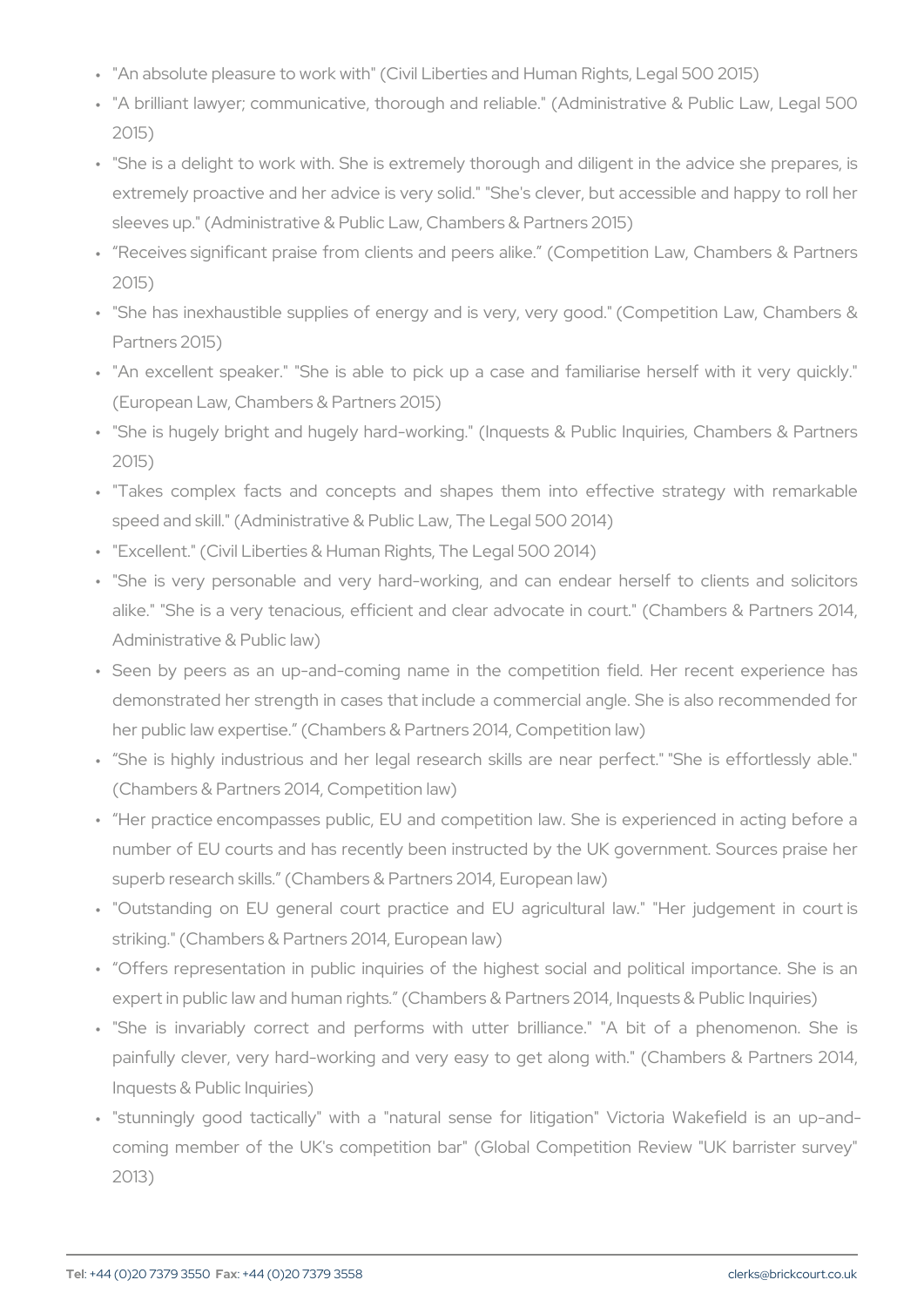" "An absolute pleasure to work with" (Civil Liberties and Human Rig

- " "A brilliant lawyer; communicative, thorough and reliable." (Admi 2015)
- " "She is a delight to work with. She is extremely thorough and dil extremely proactive and her advice is very solid." "She's clever, sleeves up." (Administrative & Public Law, Chambers & Partners 2
- " Receives significant praise from clients and peers alike. (Comp 2015)
- " "She has inexhaustible supplies of energy and is very, very goo Partners 2015)
- ""An excellent speaker." "She is able to pick up a case and far (European Law, Chambers & Partners 2015)
- " "She is hugely bright and hugely hard-working." (Inquests & Pub 2015)
- " "Takes complex facts and concepts and shapes them into eff speed and skill." (Administrative & Public Law, The Legal 500 201
- " "Excellent." (Civil Liberties & Human Rights, The Legal 500 2014)
- " "She is very personable and very hard-working, and can endea alike." "She is a very tenacious, efficient and clear advocate in Administrative & Public law)
- " Seen by peers as an up-and-coming name in the competition f demonstrated her strength in cases that include a commercial and her public law expertise. (Chambers & Partners 2014, Competition
- " She is highly industrious and her legal research skills are ne (Chambers & Partners 2014, Competition law)
- " Her practice encompasses public, EU and competition law. She number of EU courts and has recently been instructed by the UK superb research skills. (Chambers & Partners 2014, European law)
- " "Outstanding on EU general court practice and EU agricultura striking." (Chambers & Partners 2014, European law)
- " Offers representation in public inquiries of the highest social expert in public law and human rights. (Chambers & Partners 201 $\cdot$
- " "She is invariably correct and performs with utter brilliance. painfully clever, very hard-working and very easy to get along Inquests & Public Inquiries)
- " "stunningly good tactically" with a "natural sense for litigatio coming member of the UK's competition bar" (Global Competition 2013)